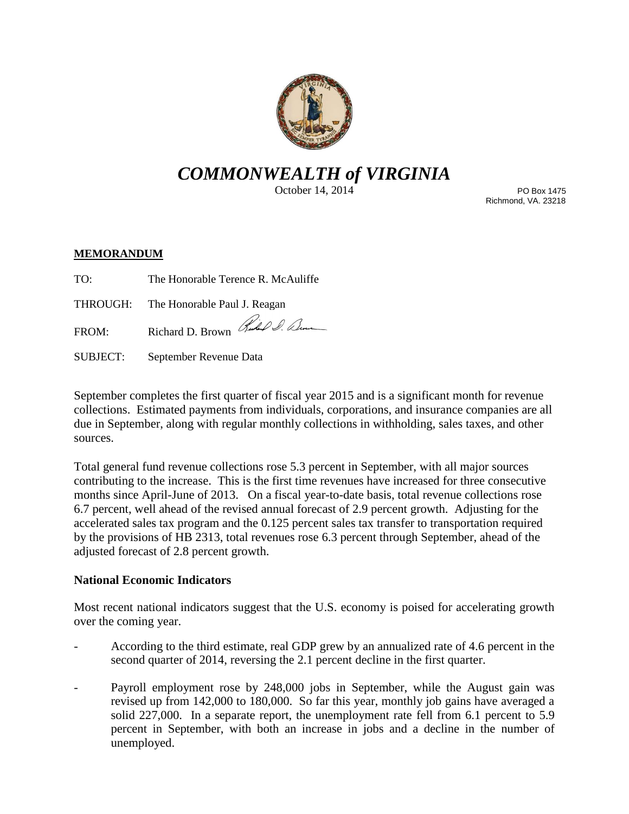

# *COMMONWEALTH of VIRGINIA*

October 14, 2014

PO Box 1475 Richmond, VA. 23218

## **MEMORANDUM**

TO: The Honorable Terence R. McAuliffe

THROUGH: The Honorable Paul J. Reagan

FROM: Richard D. Brown Hubel D. Denne

SUBJECT: September Revenue Data

September completes the first quarter of fiscal year 2015 and is a significant month for revenue collections. Estimated payments from individuals, corporations, and insurance companies are all due in September, along with regular monthly collections in withholding, sales taxes, and other sources.

Total general fund revenue collections rose 5.3 percent in September, with all major sources contributing to the increase. This is the first time revenues have increased for three consecutive months since April-June of 2013. On a fiscal year-to-date basis, total revenue collections rose 6.7 percent, well ahead of the revised annual forecast of 2.9 percent growth. Adjusting for the accelerated sales tax program and the 0.125 percent sales tax transfer to transportation required by the provisions of HB 2313, total revenues rose 6.3 percent through September, ahead of the adjusted forecast of 2.8 percent growth.

# **National Economic Indicators**

Most recent national indicators suggest that the U.S. economy is poised for accelerating growth over the coming year.

- According to the third estimate, real GDP grew by an annualized rate of 4.6 percent in the second quarter of 2014, reversing the 2.1 percent decline in the first quarter.
- Payroll employment rose by 248,000 jobs in September, while the August gain was revised up from 142,000 to 180,000. So far this year, monthly job gains have averaged a solid 227,000. In a separate report, the unemployment rate fell from 6.1 percent to 5.9 percent in September, with both an increase in jobs and a decline in the number of unemployed.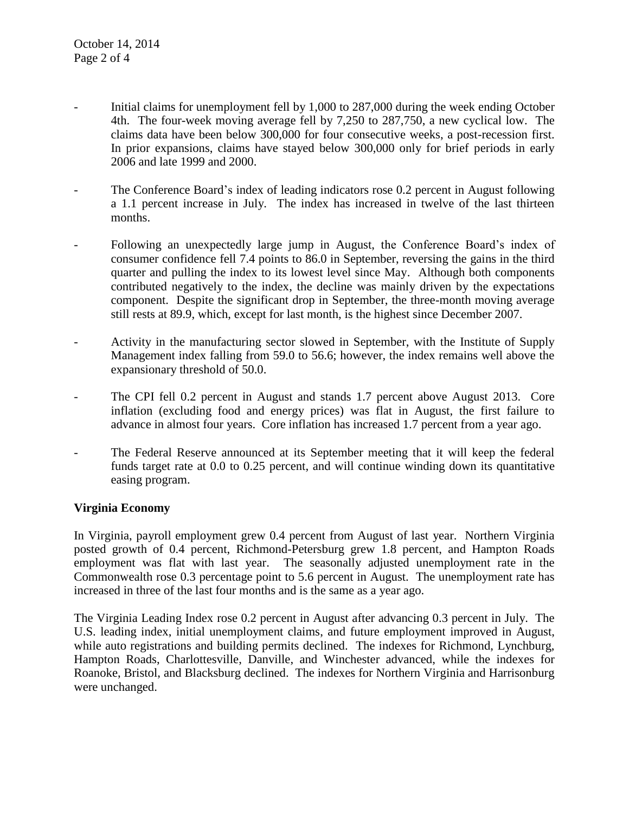- Initial claims for unemployment fell by 1,000 to 287,000 during the week ending October 4th. The four-week moving average fell by 7,250 to 287,750, a new cyclical low. The claims data have been below 300,000 for four consecutive weeks, a post-recession first. In prior expansions, claims have stayed below 300,000 only for brief periods in early 2006 and late 1999 and 2000.
- The Conference Board's index of leading indicators rose 0.2 percent in August following a 1.1 percent increase in July. The index has increased in twelve of the last thirteen months.
- Following an unexpectedly large jump in August, the Conference Board's index of consumer confidence fell 7.4 points to 86.0 in September, reversing the gains in the third quarter and pulling the index to its lowest level since May. Although both components contributed negatively to the index, the decline was mainly driven by the expectations component. Despite the significant drop in September, the three-month moving average still rests at 89.9, which, except for last month, is the highest since December 2007.
- Activity in the manufacturing sector slowed in September, with the Institute of Supply Management index falling from 59.0 to 56.6; however, the index remains well above the expansionary threshold of 50.0.
- The CPI fell 0.2 percent in August and stands 1.7 percent above August 2013. Core inflation (excluding food and energy prices) was flat in August, the first failure to advance in almost four years. Core inflation has increased 1.7 percent from a year ago.
- The Federal Reserve announced at its September meeting that it will keep the federal funds target rate at 0.0 to 0.25 percent, and will continue winding down its quantitative easing program.

# **Virginia Economy**

In Virginia, payroll employment grew 0.4 percent from August of last year. Northern Virginia posted growth of 0.4 percent, Richmond-Petersburg grew 1.8 percent, and Hampton Roads employment was flat with last year. The seasonally adjusted unemployment rate in the Commonwealth rose 0.3 percentage point to 5.6 percent in August. The unemployment rate has increased in three of the last four months and is the same as a year ago.

The Virginia Leading Index rose 0.2 percent in August after advancing 0.3 percent in July. The U.S. leading index, initial unemployment claims, and future employment improved in August, while auto registrations and building permits declined. The indexes for Richmond, Lynchburg, Hampton Roads, Charlottesville, Danville, and Winchester advanced, while the indexes for Roanoke, Bristol, and Blacksburg declined. The indexes for Northern Virginia and Harrisonburg were unchanged.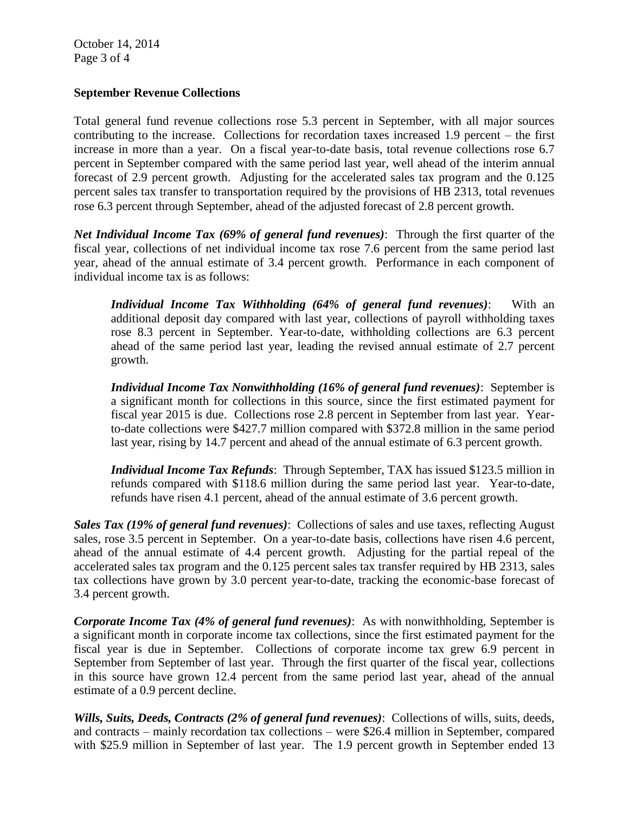## **September Revenue Collections**

Total general fund revenue collections rose 5.3 percent in September, with all major sources contributing to the increase. Collections for recordation taxes increased 1.9 percent – the first increase in more than a year. On a fiscal year-to-date basis, total revenue collections rose 6.7 percent in September compared with the same period last year, well ahead of the interim annual forecast of 2.9 percent growth. Adjusting for the accelerated sales tax program and the 0.125 percent sales tax transfer to transportation required by the provisions of HB 2313, total revenues rose 6.3 percent through September, ahead of the adjusted forecast of 2.8 percent growth.

*Net Individual Income Tax (69% of general fund revenues)*: Through the first quarter of the fiscal year, collections of net individual income tax rose 7.6 percent from the same period last year, ahead of the annual estimate of 3.4 percent growth. Performance in each component of individual income tax is as follows:

*Individual Income Tax Withholding (64% of general fund revenues)*: With an additional deposit day compared with last year, collections of payroll withholding taxes rose 8.3 percent in September. Year-to-date, withholding collections are 6.3 percent ahead of the same period last year, leading the revised annual estimate of 2.7 percent growth.

*Individual Income Tax Nonwithholding (16% of general fund revenues)*: September is a significant month for collections in this source, since the first estimated payment for fiscal year 2015 is due. Collections rose 2.8 percent in September from last year. Yearto-date collections were \$427.7 million compared with \$372.8 million in the same period last year, rising by 14.7 percent and ahead of the annual estimate of 6.3 percent growth.

*Individual Income Tax Refunds*: Through September, TAX has issued \$123.5 million in refunds compared with \$118.6 million during the same period last year. Year-to-date, refunds have risen 4.1 percent, ahead of the annual estimate of 3.6 percent growth.

*Sales Tax (19% of general fund revenues)*: Collections of sales and use taxes, reflecting August sales, rose 3.5 percent in September. On a year-to-date basis, collections have risen 4.6 percent, ahead of the annual estimate of 4.4 percent growth. Adjusting for the partial repeal of the accelerated sales tax program and the 0.125 percent sales tax transfer required by HB 2313, sales tax collections have grown by 3.0 percent year-to-date, tracking the economic-base forecast of 3.4 percent growth.

*Corporate Income Tax (4% of general fund revenues)*: As with nonwithholding, September is a significant month in corporate income tax collections, since the first estimated payment for the fiscal year is due in September. Collections of corporate income tax grew 6.9 percent in September from September of last year. Through the first quarter of the fiscal year, collections in this source have grown 12.4 percent from the same period last year, ahead of the annual estimate of a 0.9 percent decline.

*Wills, Suits, Deeds, Contracts (2% of general fund revenues)*: Collections of wills, suits, deeds, and contracts – mainly recordation tax collections – were \$26.4 million in September, compared with \$25.9 million in September of last year. The 1.9 percent growth in September ended 13